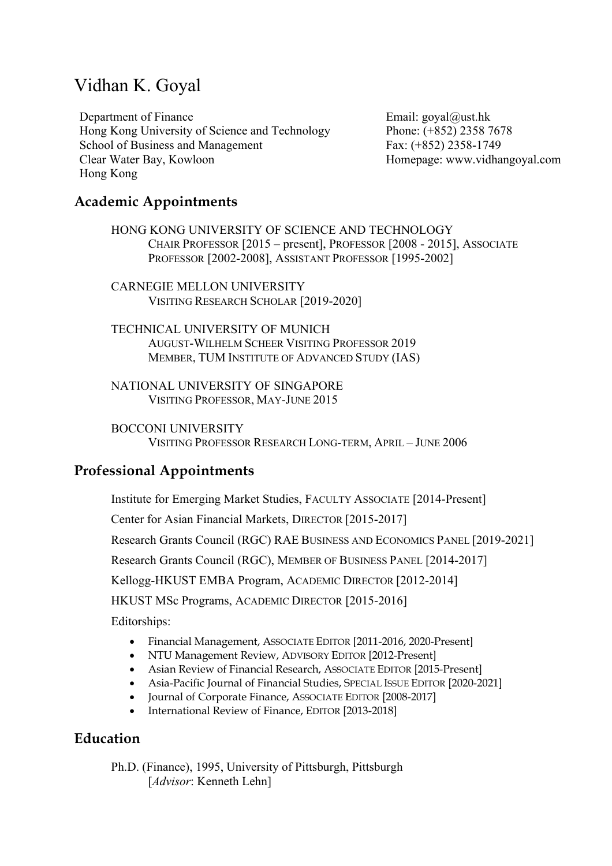# Vidhan K. Goyal

Department of Finance Hong Kong University of Science and Technology School of Business and Management Clear Water Bay, Kowloon Hong Kong

Email: goyal@ust.hk Phone: (+852) 2358 7678 Fax: (+852) 2358-1749 Homepage: www.vidhangoyal.com

### **Academic Appointments**

HONG KONG UNIVERSITY OF SCIENCE AND TECHNOLOGY CHAIR PROFESSOR [2015 – present], PROFESSOR [2008 - 2015], ASSOCIATE PROFESSOR [2002-2008], ASSISTANT PROFESSOR [1995-2002]

CARNEGIE MELLON UNIVERSITY VISITING RESEARCH SCHOLAR [2019-2020]

TECHNICAL UNIVERSITY OF MUNICH AUGUST-WILHELM SCHEER VISITING PROFESSOR 2019 MEMBER, TUM INSTITUTE OF ADVANCED STUDY (IAS)

NATIONAL UNIVERSITY OF SINGAPORE VISITING PROFESSOR, MAY-JUNE 2015

BOCCONI UNIVERSITY VISITING PROFESSOR RESEARCH LONG-TERM, APRIL – JUNE 2006

### **Professional Appointments**

Institute for Emerging Market Studies, FACULTY ASSOCIATE [2014-Present] Center for Asian Financial Markets, DIRECTOR [2015-2017] Research Grants Council (RGC) RAE BUSINESS AND ECONOMICS PANEL [2019-2021] Research Grants Council (RGC), MEMBER OF BUSINESS PANEL [2014-2017] Kellogg-HKUST EMBA Program, ACADEMIC DIRECTOR [2012-2014] HKUST MSc Programs, ACADEMIC DIRECTOR [2015-2016] Editorships:

- Financial Management, ASSOCIATE EDITOR [2011-2016, 2020-Present]
- NTU Management Review, ADVISORY EDITOR [2012-Present]
- Asian Review of Financial Research, ASSOCIATE EDITOR [2015-Present]
- Asia-Pacific Journal of Financial Studies, SPECIAL ISSUE EDITOR [2020-2021]
- Journal of Corporate Finance, ASSOCIATE EDITOR [2008-2017]
- International Review of Finance, EDITOR [2013-2018]

### **Education**

Ph.D. (Finance), 1995, University of Pittsburgh, Pittsburgh [*Advisor*: Kenneth Lehn]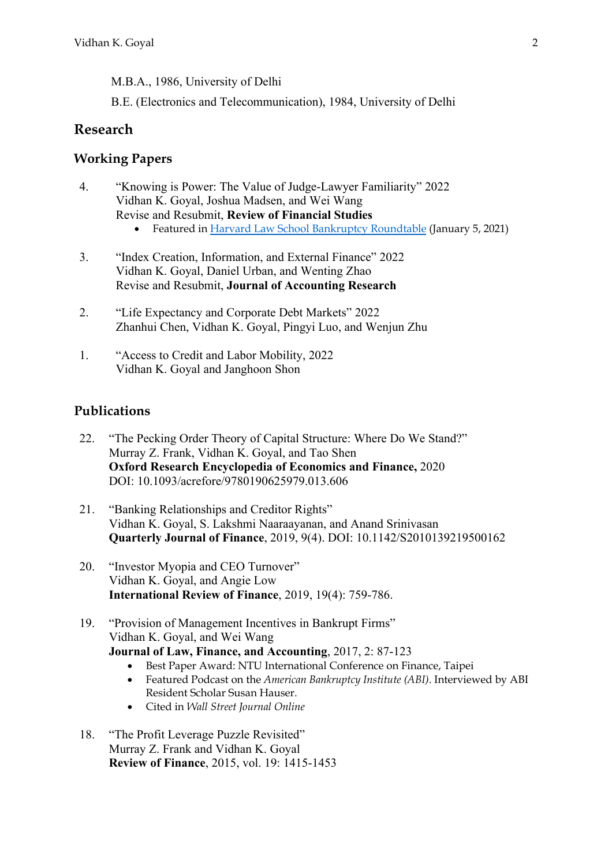M.B.A., 1986, University of Delhi

B.E. (Electronics and Telecommunication), 1984, University of Delhi

### **Research**

#### **Working Papers**

- 4. "Knowing is Power: The Value of Judge-Lawyer Familiarity" 2022 Vidhan K. Goyal, Joshua Madsen, and Wei Wang Revise and Resubmit, **Review of Financial Studies**
	- Featured in Harvard Law School Bankruptcy Roundtable (January 5, 2021)
- 3. "Index Creation, Information, and External Finance" 2022 Vidhan K. Goyal, Daniel Urban, and Wenting Zhao Revise and Resubmit, **Journal of Accounting Research**
- 2. "Life Expectancy and Corporate Debt Markets" 2022 Zhanhui Chen, Vidhan K. Goyal, Pingyi Luo, and Wenjun Zhu
- 1. "Access to Credit and Labor Mobility, 2022 Vidhan K. Goyal and Janghoon Shon

#### **Publications**

- 22. "The Pecking Order Theory of Capital Structure: Where Do We Stand?" Murray Z. Frank, Vidhan K. Goyal, and Tao Shen **Oxford Research Encyclopedia of Economics and Finance,** 2020 DOI: 10.1093/acrefore/9780190625979.013.606
- 21. "Banking Relationships and Creditor Rights" Vidhan K. Goyal, S. Lakshmi Naaraayanan, and Anand Srinivasan **Quarterly Journal of Finance**, 2019, 9(4). DOI: 10.1142/S2010139219500162
- 20. "Investor Myopia and CEO Turnover" Vidhan K. Goyal, and Angie Low **International Review of Finance**, 2019, 19(4): 759-786.
- 19. "Provision of Management Incentives in Bankrupt Firms" Vidhan K. Goyal, and Wei Wang **Journal of Law, Finance, and Accounting**, 2017, 2: 87-123
	- Best Paper Award: NTU International Conference on Finance, Taipei
	- Featured Podcast on the *American Bankruptcy Institute (ABI)*. Interviewed by ABI Resident Scholar Susan Hauser.
	- Cited in *Wall Street Journal Online*
- 18. "The Profit Leverage Puzzle Revisited" Murray Z. Frank and Vidhan K. Goyal **Review of Finance**, 2015, vol. 19: 1415-1453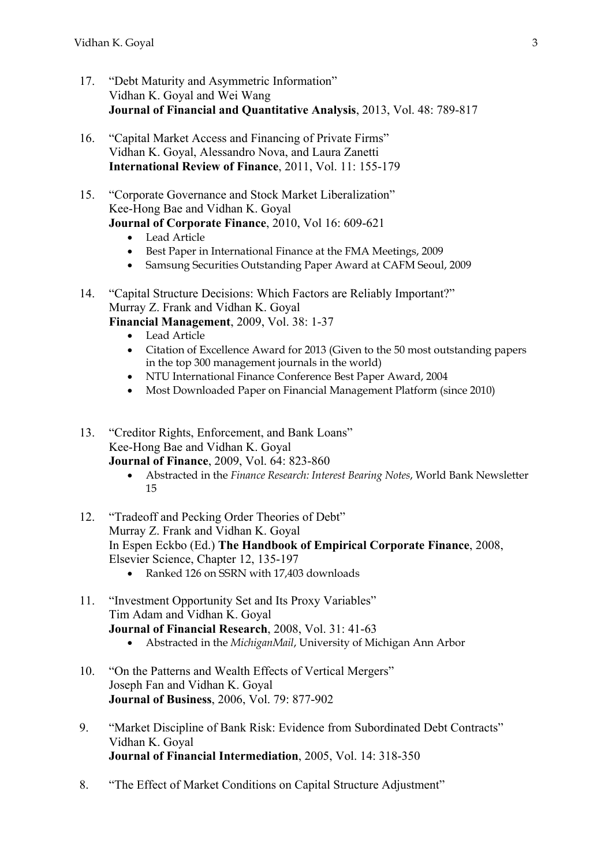- 17. "Debt Maturity and Asymmetric Information" Vidhan K. Goyal and Wei Wang **Journal of Financial and Quantitative Analysis**, 2013, Vol. 48: 789-817
- 16. "Capital Market Access and Financing of Private Firms" Vidhan K. Goyal, Alessandro Nova, and Laura Zanetti **International Review of Finance**, 2011, Vol. 11: 155-179
- 15. "Corporate Governance and Stock Market Liberalization" Kee-Hong Bae and Vidhan K. Goyal **Journal of Corporate Finance**, 2010, Vol 16: 609-621
	- Lead Article
	- Best Paper in International Finance at the FMA Meetings, 2009
	- Samsung Securities Outstanding Paper Award at CAFM Seoul, 2009
- 14. "Capital Structure Decisions: Which Factors are Reliably Important?" Murray Z. Frank and Vidhan K. Goyal
	- **Financial Management**, 2009, Vol. 38: 1-37
		- Lead Article
		- Citation of Excellence Award for 2013 (Given to the 50 most outstanding papers in the top 300 management journals in the world)
		- NTU International Finance Conference Best Paper Award, 2004
		- Most Downloaded Paper on Financial Management Platform (since 2010)
- 13. "Creditor Rights, Enforcement, and Bank Loans" Kee-Hong Bae and Vidhan K. Goyal **Journal of Finance**, 2009, Vol. 64: 823-860
	- Abstracted in the *Finance Research: Interest Bearing Notes*, World Bank Newsletter 15
- 12. "Tradeoff and Pecking Order Theories of Debt" Murray Z. Frank and Vidhan K. Goyal In Espen Eckbo (Ed.) **The Handbook of Empirical Corporate Finance**, 2008, Elsevier Science, Chapter 12, 135-197
	- Ranked 126 on SSRN with 17,403 downloads
- 11. "Investment Opportunity Set and Its Proxy Variables" Tim Adam and Vidhan K. Goyal **Journal of Financial Research**, 2008, Vol. 31: 41-63
	- Abstracted in the *MichiganMail*, University of Michigan Ann Arbor
- 10. "On the Patterns and Wealth Effects of Vertical Mergers" Joseph Fan and Vidhan K. Goyal **Journal of Business**, 2006, Vol. 79: 877-902
- 9. "Market Discipline of Bank Risk: Evidence from Subordinated Debt Contracts" Vidhan K. Goyal **Journal of Financial Intermediation**, 2005, Vol. 14: 318-350
- 8. "The Effect of Market Conditions on Capital Structure Adjustment"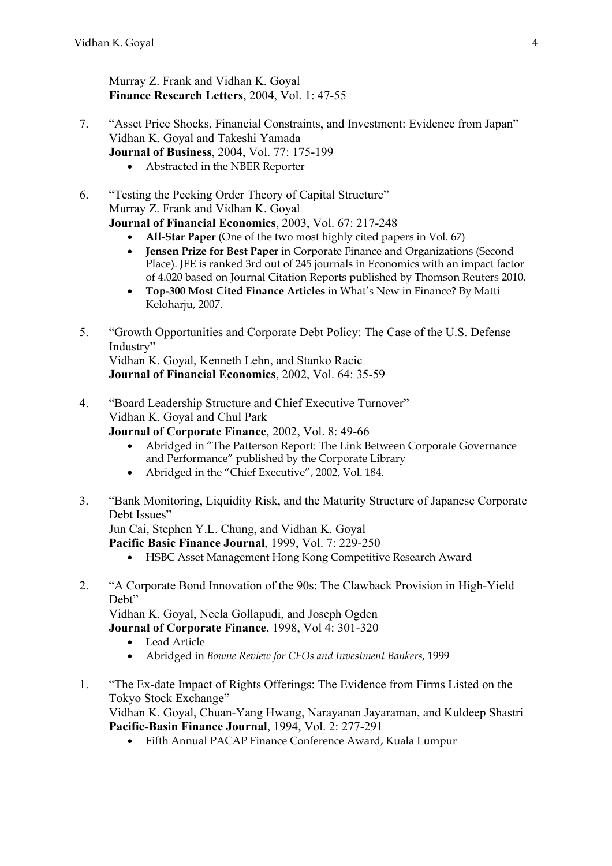Murray Z. Frank and Vidhan K. Goyal **Finance Research Letters**, 2004, Vol. 1: 47-55

- 7. "Asset Price Shocks, Financial Constraints, and Investment: Evidence from Japan" Vidhan K. Goyal and Takeshi Yamada **Journal of Business**, 2004, Vol. 77: 175-199
	- Abstracted in the NBER Reporter
- 6. "Testing the Pecking Order Theory of Capital Structure" Murray Z. Frank and Vidhan K. Goyal **Journal of Financial Economics**, 2003, Vol. 67: 217-248
	- **All-Star Paper** (One of the two most highly cited papers in Vol. 67)
	- **Jensen Prize for Best Paper** in Corporate Finance and Organizations (Second Place). JFE is ranked 3rd out of 245 journals in Economics with an impact factor of 4.020 based on Journal Citation Reports published by Thomson Reuters 2010.
	- **Top-300 Most Cited Finance Articles** in What's New in Finance? By Matti Keloharju, 2007.
- 5. "Growth Opportunities and Corporate Debt Policy: The Case of the U.S. Defense Industry"

Vidhan K. Goyal, Kenneth Lehn, and Stanko Racic **Journal of Financial Economics**, 2002, Vol. 64: 35-59

4. "Board Leadership Structure and Chief Executive Turnover" Vidhan K. Goyal and Chul Park

**Journal of Corporate Finance**, 2002, Vol. 8: 49-66

- Abridged in "The Patterson Report: The Link Between Corporate Governance and Performance" published by the Corporate Library
- Abridged in the "Chief Executive", 2002, Vol. 184.
- 3. "Bank Monitoring, Liquidity Risk, and the Maturity Structure of Japanese Corporate Debt Issues"

Jun Cai, Stephen Y.L. Chung, and Vidhan K. Goyal

**Pacific Basic Finance Journal**, 1999, Vol. 7: 229-250

- HSBC Asset Management Hong Kong Competitive Research Award
- 2. "A Corporate Bond Innovation of the 90s: The Clawback Provision in High-Yield Debt"

Vidhan K. Goyal, Neela Gollapudi, and Joseph Ogden

**Journal of Corporate Finance**, 1998, Vol 4: 301-320

- Lead Article
- Abridged in *Bowne Review for CFOs and Investment Bankers*, 1999
- 1. "The Ex-date Impact of Rights Offerings: The Evidence from Firms Listed on the Tokyo Stock Exchange" Vidhan K. Goyal, Chuan-Yang Hwang, Narayanan Jayaraman, and Kuldeep Shastri **Pacific-Basin Finance Journal**, 1994, Vol. 2: 277-291
	- Fifth Annual PACAP Finance Conference Award, Kuala Lumpur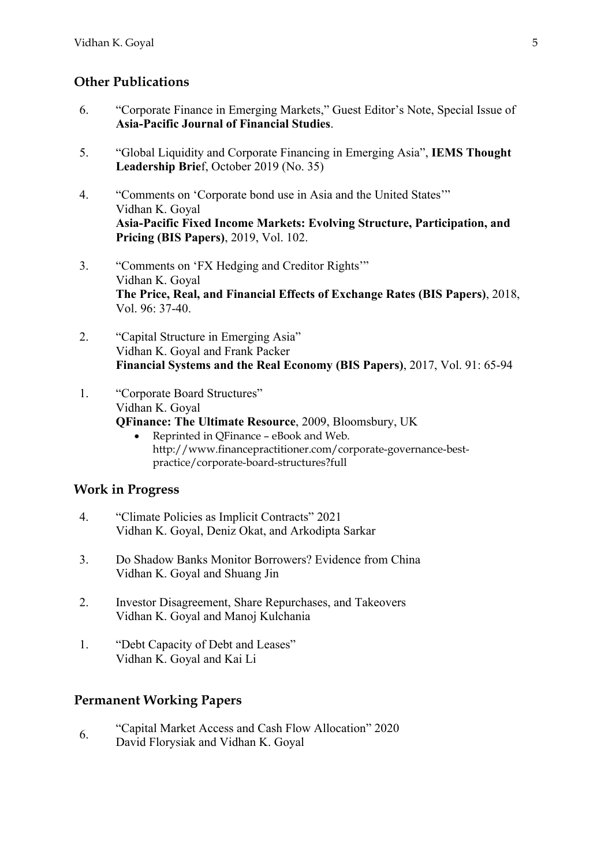### **Other Publications**

- 6. "Corporate Finance in Emerging Markets," Guest Editor's Note, Special Issue of **Asia-Pacific Journal of Financial Studies**.
- 5. "Global Liquidity and Corporate Financing in Emerging Asia", **IEMS Thought Leadership Brie**f, October 2019 (No. 35)
- 4. "Comments on 'Corporate bond use in Asia and the United States'" Vidhan K. Goyal **Asia-Pacific Fixed Income Markets: Evolving Structure, Participation, and Pricing (BIS Papers)**, 2019, Vol. 102.
- 3. "Comments on 'FX Hedging and Creditor Rights'" Vidhan K. Goyal **The Price, Real, and Financial Effects of Exchange Rates (BIS Papers)**, 2018, Vol. 96: 37-40.
- 2. "Capital Structure in Emerging Asia" Vidhan K. Goyal and Frank Packer **Financial Systems and the Real Economy (BIS Papers)**, 2017, Vol. 91: 65-94
- 1. "Corporate Board Structures" Vidhan K. Goyal **QFinance: The Ultimate Resource**, 2009, Bloomsbury, UK
	- Reprinted in QFinance eBook and Web. http://www.financepractitioner.com/corporate-governance-bestpractice/corporate-board-structures?full

#### **Work in Progress**

- 4. "Climate Policies as Implicit Contracts" 2021 Vidhan K. Goyal, Deniz Okat, and Arkodipta Sarkar
- 3. Do Shadow Banks Monitor Borrowers? Evidence from China Vidhan K. Goyal and Shuang Jin
- 2. Investor Disagreement, Share Repurchases, and Takeovers Vidhan K. Goyal and Manoj Kulchania
- 1. "Debt Capacity of Debt and Leases" Vidhan K. Goyal and Kai Li

#### **Permanent Working Papers**

6. "Capital Market Access and Cash Flow Allocation" 2020 David Florysiak and Vidhan K. Goyal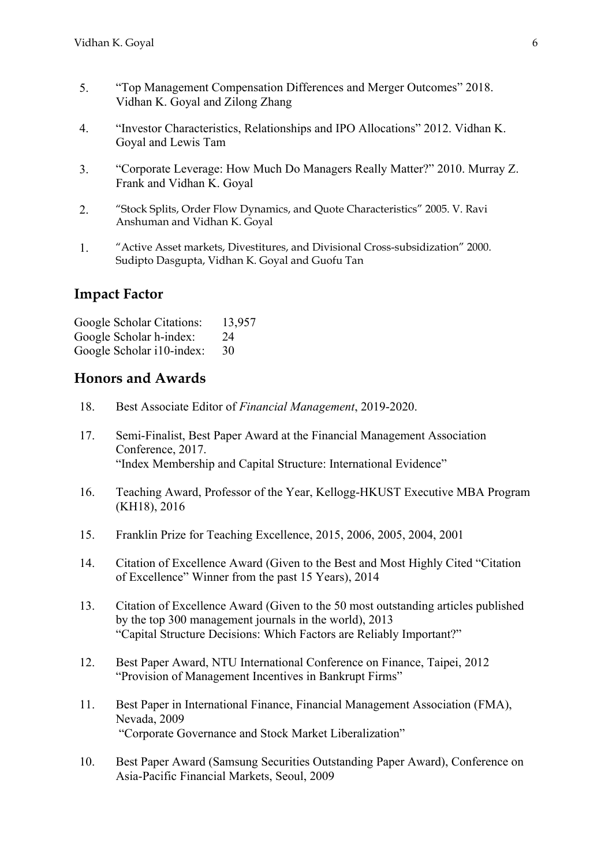- 5. "Top Management Compensation Differences and Merger Outcomes" 2018. Vidhan K. Goyal and Zilong Zhang
- 4. "Investor Characteristics, Relationships and IPO Allocations" 2012. Vidhan K. Goyal and Lewis Tam
- 3. "Corporate Leverage: How Much Do Managers Really Matter?" 2010. Murray Z. Frank and Vidhan K. Goyal
- 2. "Stock Splits, Order Flow Dynamics, and Quote Characteristics" 2005. V. Ravi Anshuman and Vidhan K. Goyal
- 1. "Active Asset markets, Divestitures, and Divisional Cross-subsidization" 2000. Sudipto Dasgupta, Vidhan K. Goyal and Guofu Tan

#### **Impact Factor**

| Google Scholar Citations: | 13,957 |
|---------------------------|--------|
| Google Scholar h-index:   | 24     |
| Google Scholar i10-index: | 30     |

#### **Honors and Awards**

- 18. Best Associate Editor of *Financial Management*, 2019-2020.
- 17. Semi-Finalist, Best Paper Award at the Financial Management Association Conference, 2017. "Index Membership and Capital Structure: International Evidence"
- 16. Teaching Award, Professor of the Year, Kellogg-HKUST Executive MBA Program (KH18), 2016
- 15. Franklin Prize for Teaching Excellence, 2015, 2006, 2005, 2004, 2001
- 14. Citation of Excellence Award (Given to the Best and Most Highly Cited "Citation of Excellence" Winner from the past 15 Years), 2014
- 13. Citation of Excellence Award (Given to the 50 most outstanding articles published by the top 300 management journals in the world), 2013 "Capital Structure Decisions: Which Factors are Reliably Important?"
- 12. Best Paper Award, NTU International Conference on Finance, Taipei, 2012 "Provision of Management Incentives in Bankrupt Firms"
- 11. Best Paper in International Finance, Financial Management Association (FMA), Nevada, 2009 "Corporate Governance and Stock Market Liberalization"
- 10. Best Paper Award (Samsung Securities Outstanding Paper Award), Conference on Asia-Pacific Financial Markets, Seoul, 2009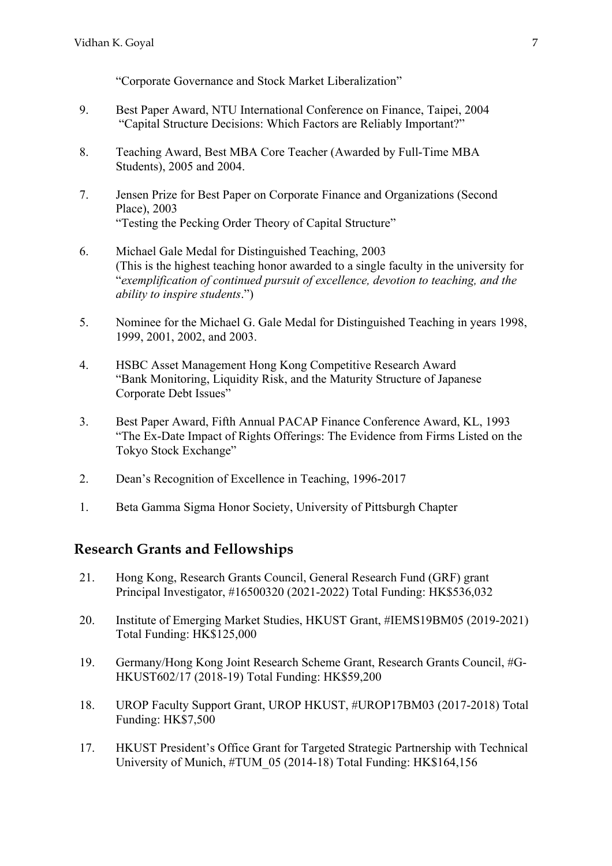"Corporate Governance and Stock Market Liberalization"

- 9. Best Paper Award, NTU International Conference on Finance, Taipei, 2004 "Capital Structure Decisions: Which Factors are Reliably Important?"
- 8. Teaching Award, Best MBA Core Teacher (Awarded by Full-Time MBA Students), 2005 and 2004.
- 7. Jensen Prize for Best Paper on Corporate Finance and Organizations (Second Place), 2003 "Testing the Pecking Order Theory of Capital Structure"
- 6. Michael Gale Medal for Distinguished Teaching, 2003 (This is the highest teaching honor awarded to a single faculty in the university for "*exemplification of continued pursuit of excellence, devotion to teaching, and the ability to inspire students*.")
- 5. Nominee for the Michael G. Gale Medal for Distinguished Teaching in years 1998, 1999, 2001, 2002, and 2003.
- 4. HSBC Asset Management Hong Kong Competitive Research Award "Bank Monitoring, Liquidity Risk, and the Maturity Structure of Japanese Corporate Debt Issues"
- 3. Best Paper Award, Fifth Annual PACAP Finance Conference Award, KL, 1993 "The Ex-Date Impact of Rights Offerings: The Evidence from Firms Listed on the Tokyo Stock Exchange"
- 2. Dean's Recognition of Excellence in Teaching, 1996-2017
- 1. Beta Gamma Sigma Honor Society, University of Pittsburgh Chapter

#### **Research Grants and Fellowships**

- 21. Hong Kong, Research Grants Council, General Research Fund (GRF) grant Principal Investigator, #16500320 (2021-2022) Total Funding: HK\$536,032
- 20. Institute of Emerging Market Studies, HKUST Grant, #IEMS19BM05 (2019-2021) Total Funding: HK\$125,000
- 19. Germany/Hong Kong Joint Research Scheme Grant, Research Grants Council, #G-HKUST602/17 (2018-19) Total Funding: HK\$59,200
- 18. UROP Faculty Support Grant, UROP HKUST, #UROP17BM03 (2017-2018) Total Funding: HK\$7,500
- 17. HKUST President's Office Grant for Targeted Strategic Partnership with Technical University of Munich, #TUM\_05 (2014-18) Total Funding: HK\$164,156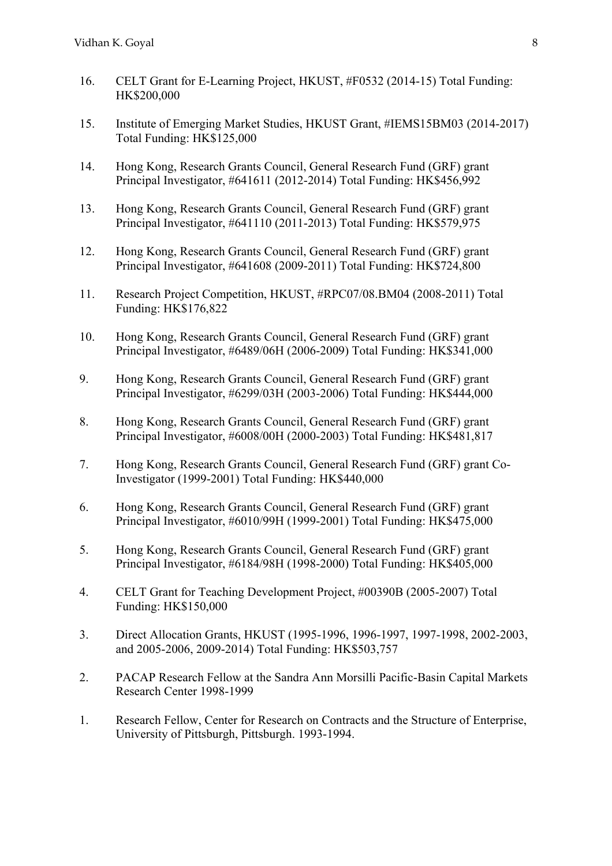- 16. CELT Grant for E-Learning Project, HKUST, #F0532 (2014-15) Total Funding: HK\$200,000
- 15. Institute of Emerging Market Studies, HKUST Grant, #IEMS15BM03 (2014-2017) Total Funding: HK\$125,000
- 14. Hong Kong, Research Grants Council, General Research Fund (GRF) grant Principal Investigator, #641611 (2012-2014) Total Funding: HK\$456,992
- 13. Hong Kong, Research Grants Council, General Research Fund (GRF) grant Principal Investigator, #641110 (2011-2013) Total Funding: HK\$579,975
- 12. Hong Kong, Research Grants Council, General Research Fund (GRF) grant Principal Investigator, #641608 (2009-2011) Total Funding: HK\$724,800
- 11. Research Project Competition, HKUST, #RPC07/08.BM04 (2008-2011) Total Funding: HK\$176,822
- 10. Hong Kong, Research Grants Council, General Research Fund (GRF) grant Principal Investigator, #6489/06H (2006-2009) Total Funding: HK\$341,000
- 9. Hong Kong, Research Grants Council, General Research Fund (GRF) grant Principal Investigator, #6299/03H (2003-2006) Total Funding: HK\$444,000
- 8. Hong Kong, Research Grants Council, General Research Fund (GRF) grant Principal Investigator, #6008/00H (2000-2003) Total Funding: HK\$481,817
- 7. Hong Kong, Research Grants Council, General Research Fund (GRF) grant Co-Investigator (1999-2001) Total Funding: HK\$440,000
- 6. Hong Kong, Research Grants Council, General Research Fund (GRF) grant Principal Investigator, #6010/99H (1999-2001) Total Funding: HK\$475,000
- 5. Hong Kong, Research Grants Council, General Research Fund (GRF) grant Principal Investigator, #6184/98H (1998-2000) Total Funding: HK\$405,000
- 4. CELT Grant for Teaching Development Project, #00390B (2005-2007) Total Funding: HK\$150,000
- 3. Direct Allocation Grants, HKUST (1995-1996, 1996-1997, 1997-1998, 2002-2003, and 2005-2006, 2009-2014) Total Funding: HK\$503,757
- 2. PACAP Research Fellow at the Sandra Ann Morsilli Pacific-Basin Capital Markets Research Center 1998-1999
- 1. Research Fellow, Center for Research on Contracts and the Structure of Enterprise, University of Pittsburgh, Pittsburgh. 1993-1994.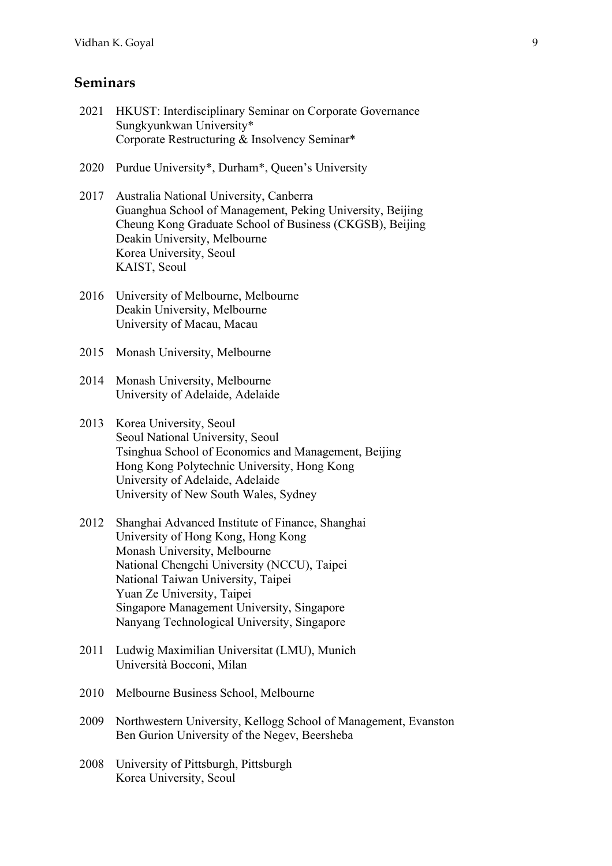### **Seminars**

- 2021 HKUST: Interdisciplinary Seminar on Corporate Governance Sungkyunkwan University\* Corporate Restructuring & Insolvency Seminar\*
- 2020 Purdue University\*, Durham\*, Queen's University
- 2017 Australia National University, Canberra Guanghua School of Management, Peking University, Beijing Cheung Kong Graduate School of Business (CKGSB), Beijing Deakin University, Melbourne Korea University, Seoul KAIST, Seoul
- 2016 University of Melbourne, Melbourne Deakin University, Melbourne University of Macau, Macau
- 2015 Monash University, Melbourne
- 2014 Monash University, Melbourne University of Adelaide, Adelaide
- 2013 Korea University, Seoul Seoul National University, Seoul Tsinghua School of Economics and Management, Beijing Hong Kong Polytechnic University, Hong Kong University of Adelaide, Adelaide University of New South Wales, Sydney
- 2012 Shanghai Advanced Institute of Finance, Shanghai University of Hong Kong, Hong Kong Monash University, Melbourne National Chengchi University (NCCU), Taipei National Taiwan University, Taipei Yuan Ze University, Taipei Singapore Management University, Singapore Nanyang Technological University, Singapore
- 2011 Ludwig Maximilian Universitat (LMU), Munich Università Bocconi, Milan
- 2010 Melbourne Business School, Melbourne
- 2009 Northwestern University, Kellogg School of Management, Evanston Ben Gurion University of the Negev, Beersheba
- 2008 University of Pittsburgh, Pittsburgh Korea University, Seoul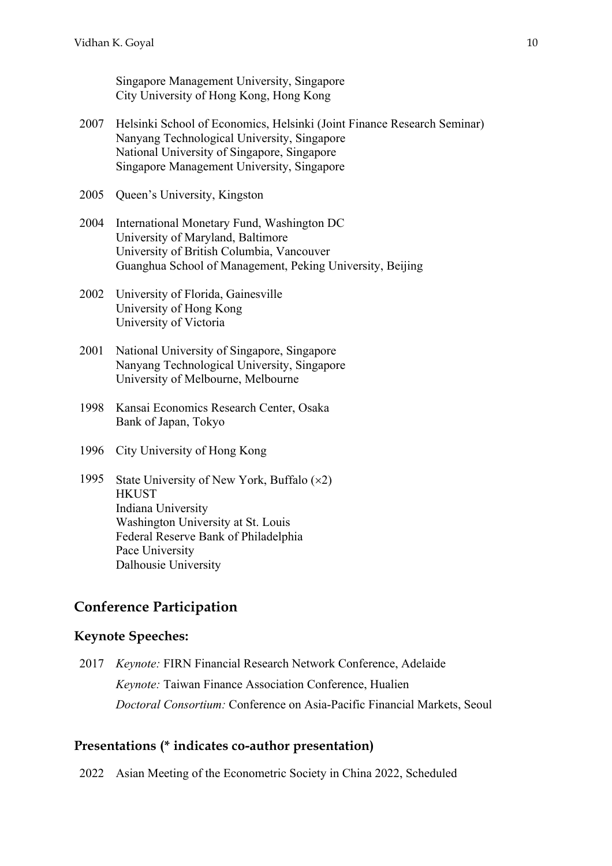Singapore Management University, Singapore City University of Hong Kong, Hong Kong

- 2007 Helsinki School of Economics, Helsinki (Joint Finance Research Seminar) Nanyang Technological University, Singapore National University of Singapore, Singapore Singapore Management University, Singapore
- 2005 Queen's University, Kingston
- 2004 International Monetary Fund, Washington DC University of Maryland, Baltimore University of British Columbia, Vancouver Guanghua School of Management, Peking University, Beijing
- 2002 University of Florida, Gainesville University of Hong Kong University of Victoria
- 2001 National University of Singapore, Singapore Nanyang Technological University, Singapore University of Melbourne, Melbourne
- 1998 Kansai Economics Research Center, Osaka Bank of Japan, Tokyo
- 1996 City University of Hong Kong
- 1995 State University of New York, Buffalo  $(x2)$ **HKUST** Indiana University Washington University at St. Louis Federal Reserve Bank of Philadelphia Pace University Dalhousie University

#### **Conference Participation**

#### **Keynote Speeches:**

2017 *Keynote:* FIRN Financial Research Network Conference, Adelaide *Keynote:* Taiwan Finance Association Conference, Hualien *Doctoral Consortium:* Conference on Asia-Pacific Financial Markets, Seoul

#### **Presentations (\* indicates co-author presentation)**

2022 Asian Meeting of the Econometric Society in China 2022, Scheduled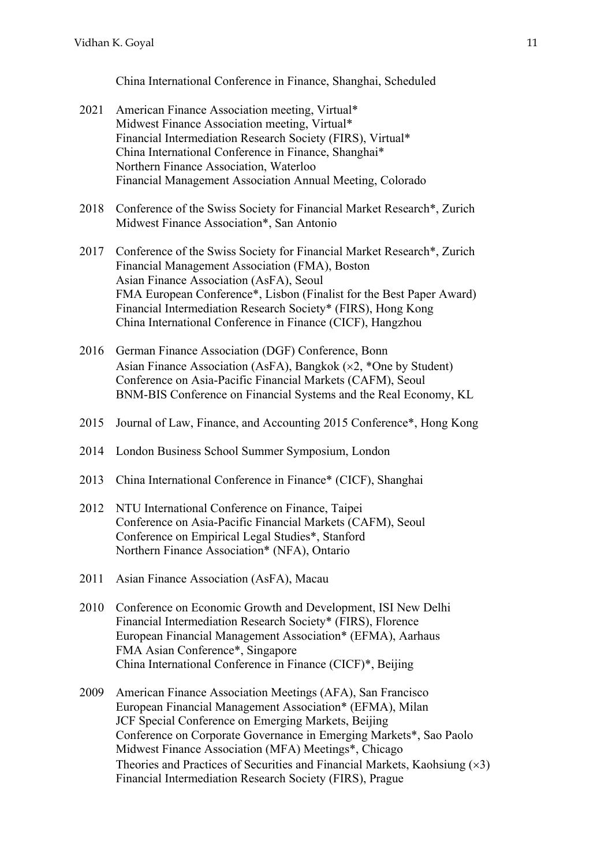China International Conference in Finance, Shanghai, Scheduled

- 2021 American Finance Association meeting, Virtual\* Midwest Finance Association meeting, Virtual\* Financial Intermediation Research Society (FIRS), Virtual\* China International Conference in Finance, Shanghai\* Northern Finance Association, Waterloo Financial Management Association Annual Meeting, Colorado
- 2018 Conference of the Swiss Society for Financial Market Research\*, Zurich Midwest Finance Association\*, San Antonio
- 2017 Conference of the Swiss Society for Financial Market Research\*, Zurich Financial Management Association (FMA), Boston Asian Finance Association (AsFA), Seoul FMA European Conference\*, Lisbon (Finalist for the Best Paper Award) Financial Intermediation Research Society\* (FIRS), Hong Kong China International Conference in Finance (CICF), Hangzhou
- 2016 German Finance Association (DGF) Conference, Bonn Asian Finance Association (AsFA), Bangkok ( $\times$ 2, \*One by Student) Conference on Asia-Pacific Financial Markets (CAFM), Seoul BNM-BIS Conference on Financial Systems and the Real Economy, KL
- 2015 Journal of Law, Finance, and Accounting 2015 Conference\*, Hong Kong
- 2014 London Business School Summer Symposium, London
- 2013 China International Conference in Finance\* (CICF), Shanghai
- 2012 NTU International Conference on Finance, Taipei Conference on Asia-Pacific Financial Markets (CAFM), Seoul Conference on Empirical Legal Studies\*, Stanford Northern Finance Association\* (NFA), Ontario
- 2011 Asian Finance Association (AsFA), Macau
- 2010 Conference on Economic Growth and Development, ISI New Delhi Financial Intermediation Research Society\* (FIRS), Florence European Financial Management Association\* (EFMA), Aarhaus FMA Asian Conference\*, Singapore China International Conference in Finance (CICF)\*, Beijing
- 2009 American Finance Association Meetings (AFA), San Francisco European Financial Management Association\* (EFMA), Milan JCF Special Conference on Emerging Markets, Beijing Conference on Corporate Governance in Emerging Markets\*, Sao Paolo Midwest Finance Association (MFA) Meetings\*, Chicago Theories and Practices of Securities and Financial Markets, Kaohsiung  $(x3)$ Financial Intermediation Research Society (FIRS), Prague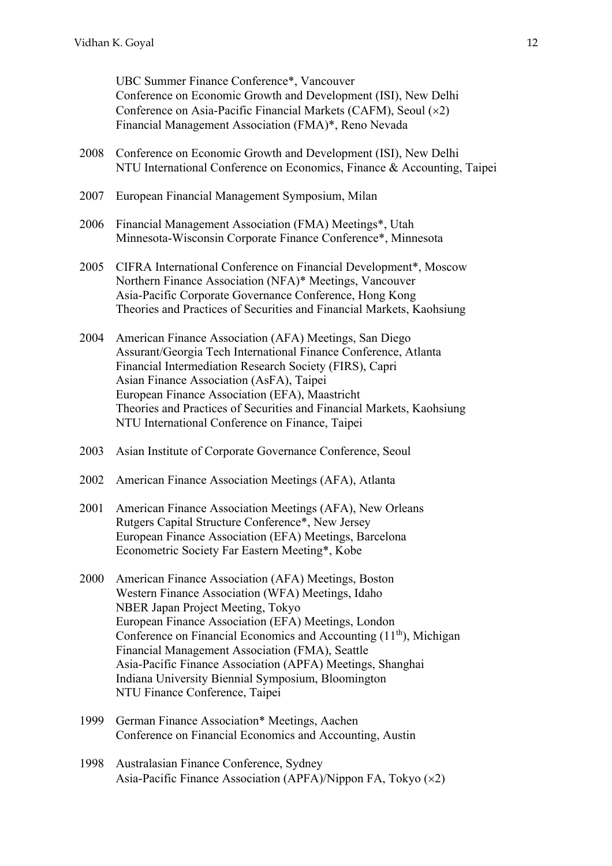UBC Summer Finance Conference\*, Vancouver Conference on Economic Growth and Development (ISI), New Delhi Conference on Asia-Pacific Financial Markets (CAFM), Seoul  $(x2)$ Financial Management Association (FMA)\*, Reno Nevada

- 2008 Conference on Economic Growth and Development (ISI), New Delhi NTU International Conference on Economics, Finance & Accounting, Taipei
- 2007 European Financial Management Symposium, Milan
- 2006 Financial Management Association (FMA) Meetings\*, Utah Minnesota-Wisconsin Corporate Finance Conference\*, Minnesota
- 2005 CIFRA International Conference on Financial Development\*, Moscow Northern Finance Association (NFA)\* Meetings, Vancouver Asia-Pacific Corporate Governance Conference, Hong Kong Theories and Practices of Securities and Financial Markets, Kaohsiung
- 2004 American Finance Association (AFA) Meetings, San Diego Assurant/Georgia Tech International Finance Conference, Atlanta Financial Intermediation Research Society (FIRS), Capri Asian Finance Association (AsFA), Taipei European Finance Association (EFA), Maastricht Theories and Practices of Securities and Financial Markets, Kaohsiung NTU International Conference on Finance, Taipei
- 2003 Asian Institute of Corporate Governance Conference, Seoul
- 2002 American Finance Association Meetings (AFA), Atlanta
- 2001 American Finance Association Meetings (AFA), New Orleans Rutgers Capital Structure Conference\*, New Jersey European Finance Association (EFA) Meetings, Barcelona Econometric Society Far Eastern Meeting\*, Kobe
- 2000 American Finance Association (AFA) Meetings, Boston Western Finance Association (WFA) Meetings, Idaho NBER Japan Project Meeting, Tokyo European Finance Association (EFA) Meetings, London Conference on Financial Economics and Accounting (11th), Michigan Financial Management Association (FMA), Seattle Asia-Pacific Finance Association (APFA) Meetings, Shanghai Indiana University Biennial Symposium, Bloomington NTU Finance Conference, Taipei
- 1999 German Finance Association\* Meetings, Aachen Conference on Financial Economics and Accounting, Austin
- 1998 Australasian Finance Conference, Sydney Asia-Pacific Finance Association (APFA)/Nippon FA, Tokyo  $(x2)$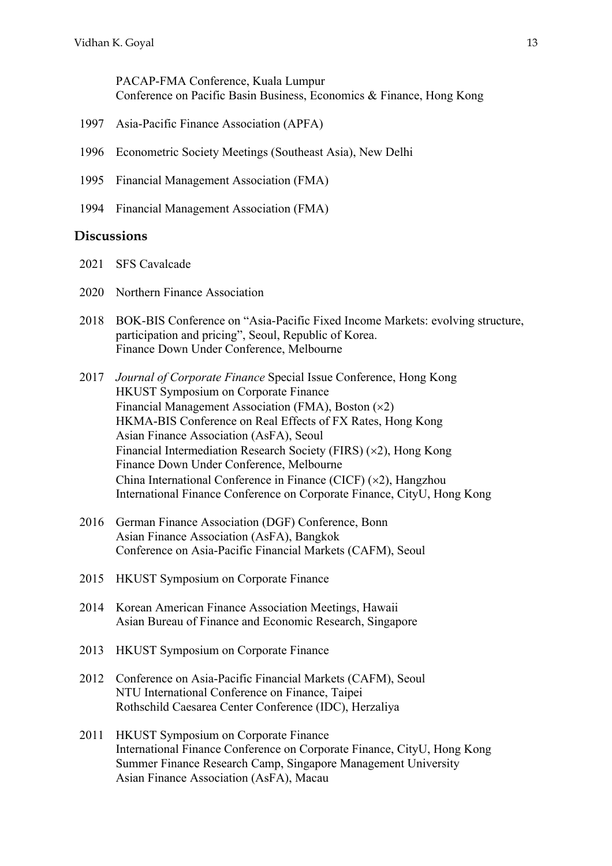PACAP-FMA Conference, Kuala Lumpur Conference on Pacific Basin Business, Economics & Finance, Hong Kong

- 1997 Asia-Pacific Finance Association (APFA)
- 1996 Econometric Society Meetings (Southeast Asia), New Delhi
- 1995 Financial Management Association (FMA)
- 1994 Financial Management Association (FMA)

#### **Discussions**

- 2021 SFS Cavalcade
- 2020 Northern Finance Association
- 2018 BOK-BIS Conference on "Asia-Pacific Fixed Income Markets: evolving structure, participation and pricing", Seoul, Republic of Korea. Finance Down Under Conference, Melbourne
- 2017 *Journal of Corporate Finance* Special Issue Conference, Hong Kong HKUST Symposium on Corporate Finance Financial Management Association (FMA), Boston  $(x2)$ HKMA-BIS Conference on Real Effects of FX Rates, Hong Kong Asian Finance Association (AsFA), Seoul Financial Intermediation Research Society (FIRS)  $(x2)$ , Hong Kong Finance Down Under Conference, Melbourne China International Conference in Finance (CICF)  $(x2)$ , Hangzhou International Finance Conference on Corporate Finance, CityU, Hong Kong
- 2016 German Finance Association (DGF) Conference, Bonn Asian Finance Association (AsFA), Bangkok Conference on Asia-Pacific Financial Markets (CAFM), Seoul
- 2015 HKUST Symposium on Corporate Finance
- 2014 Korean American Finance Association Meetings, Hawaii Asian Bureau of Finance and Economic Research, Singapore
- 2013 HKUST Symposium on Corporate Finance
- 2012 Conference on Asia-Pacific Financial Markets (CAFM), Seoul NTU International Conference on Finance, Taipei Rothschild Caesarea Center Conference (IDC), Herzaliya
- 2011 HKUST Symposium on Corporate Finance International Finance Conference on Corporate Finance, CityU, Hong Kong Summer Finance Research Camp, Singapore Management University Asian Finance Association (AsFA), Macau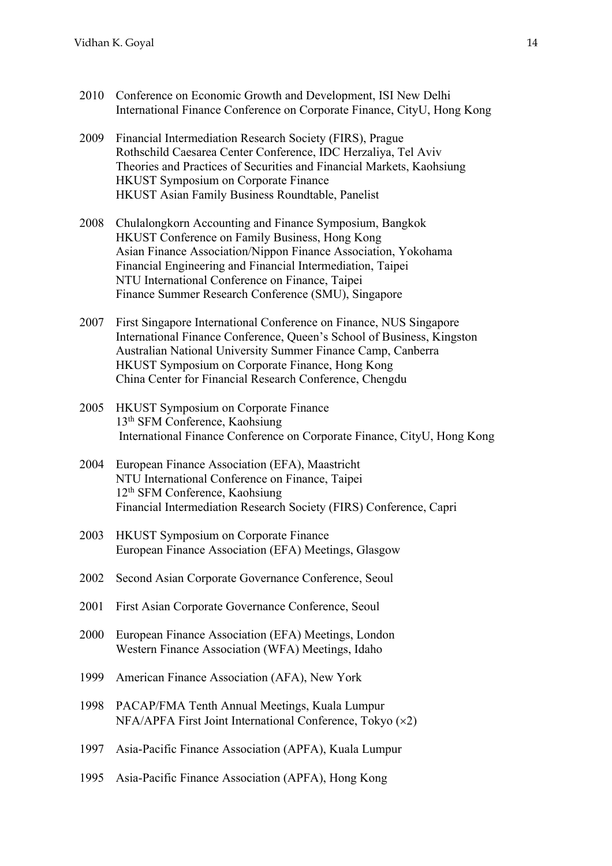- 2010 Conference on Economic Growth and Development, ISI New Delhi International Finance Conference on Corporate Finance, CityU, Hong Kong
- 2009 Financial Intermediation Research Society (FIRS), Prague Rothschild Caesarea Center Conference, IDC Herzaliya, Tel Aviv Theories and Practices of Securities and Financial Markets, Kaohsiung HKUST Symposium on Corporate Finance HKUST Asian Family Business Roundtable, Panelist
- 2008 Chulalongkorn Accounting and Finance Symposium, Bangkok HKUST Conference on Family Business, Hong Kong Asian Finance Association/Nippon Finance Association, Yokohama Financial Engineering and Financial Intermediation, Taipei NTU International Conference on Finance, Taipei Finance Summer Research Conference (SMU), Singapore
- 2007 First Singapore International Conference on Finance, NUS Singapore International Finance Conference, Queen's School of Business, Kingston Australian National University Summer Finance Camp, Canberra HKUST Symposium on Corporate Finance, Hong Kong China Center for Financial Research Conference, Chengdu
- 2005 HKUST Symposium on Corporate Finance 13th SFM Conference, Kaohsiung International Finance Conference on Corporate Finance, CityU, Hong Kong
- 2004 European Finance Association (EFA), Maastricht NTU International Conference on Finance, Taipei 12<sup>th</sup> SFM Conference, Kaohsiung Financial Intermediation Research Society (FIRS) Conference, Capri
- 2003 HKUST Symposium on Corporate Finance European Finance Association (EFA) Meetings, Glasgow
- 2002 Second Asian Corporate Governance Conference, Seoul
- 2001 First Asian Corporate Governance Conference, Seoul
- 2000 European Finance Association (EFA) Meetings, London Western Finance Association (WFA) Meetings, Idaho
- 1999 American Finance Association (AFA), New York
- 1998 PACAP/FMA Tenth Annual Meetings, Kuala Lumpur  $NFA/APFA$  First Joint International Conference, Tokyo  $(x2)$
- 1997 Asia-Pacific Finance Association (APFA), Kuala Lumpur
- 1995 Asia-Pacific Finance Association (APFA), Hong Kong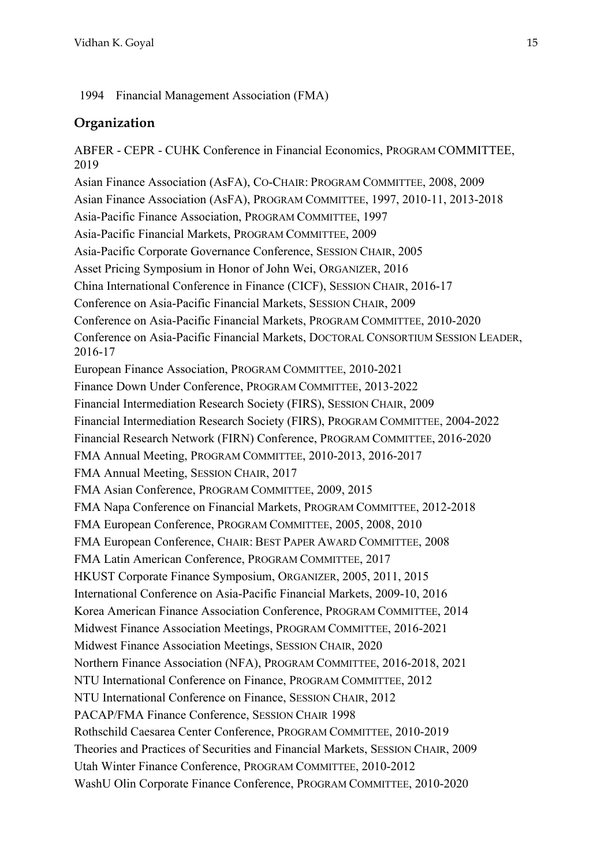1994 Financial Management Association (FMA)

#### **Organization**

ABFER - CEPR - CUHK Conference in Financial Economics, PROGRAM COMMITTEE, 2019 Asian Finance Association (AsFA), CO-CHAIR: PROGRAM COMMITTEE, 2008, 2009 Asian Finance Association (AsFA), PROGRAM COMMITTEE, 1997, 2010-11, 2013-2018 Asia-Pacific Finance Association, PROGRAM COMMITTEE, 1997 Asia-Pacific Financial Markets, PROGRAM COMMITTEE, 2009 Asia-Pacific Corporate Governance Conference, SESSION CHAIR, 2005 Asset Pricing Symposium in Honor of John Wei, ORGANIZER, 2016 China International Conference in Finance (CICF), SESSION CHAIR, 2016-17 Conference on Asia-Pacific Financial Markets, SESSION CHAIR, 2009 Conference on Asia-Pacific Financial Markets, PROGRAM COMMITTEE, 2010-2020 Conference on Asia-Pacific Financial Markets, DOCTORAL CONSORTIUM SESSION LEADER, 2016-17 European Finance Association, PROGRAM COMMITTEE, 2010-2021 Finance Down Under Conference, PROGRAM COMMITTEE, 2013-2022 Financial Intermediation Research Society (FIRS), SESSION CHAIR, 2009 Financial Intermediation Research Society (FIRS), PROGRAM COMMITTEE, 2004-2022 Financial Research Network (FIRN) Conference, PROGRAM COMMITTEE, 2016-2020 FMA Annual Meeting, PROGRAM COMMITTEE, 2010-2013, 2016-2017 FMA Annual Meeting, SESSION CHAIR, 2017 FMA Asian Conference, PROGRAM COMMITTEE, 2009, 2015 FMA Napa Conference on Financial Markets, PROGRAM COMMITTEE, 2012-2018 FMA European Conference, PROGRAM COMMITTEE, 2005, 2008, 2010 FMA European Conference, CHAIR: BEST PAPER AWARD COMMITTEE, 2008 FMA Latin American Conference, PROGRAM COMMITTEE, 2017 HKUST Corporate Finance Symposium, ORGANIZER, 2005, 2011, 2015 International Conference on Asia-Pacific Financial Markets, 2009-10, 2016 Korea American Finance Association Conference, PROGRAM COMMITTEE, 2014 Midwest Finance Association Meetings, PROGRAM COMMITTEE, 2016-2021 Midwest Finance Association Meetings, SESSION CHAIR, 2020 Northern Finance Association (NFA), PROGRAM COMMITTEE, 2016-2018, 2021 NTU International Conference on Finance, PROGRAM COMMITTEE, 2012 NTU International Conference on Finance, SESSION CHAIR, 2012 PACAP/FMA Finance Conference, SESSION CHAIR 1998 Rothschild Caesarea Center Conference, PROGRAM COMMITTEE, 2010-2019 Theories and Practices of Securities and Financial Markets, SESSION CHAIR, 2009 Utah Winter Finance Conference, PROGRAM COMMITTEE, 2010-2012 WashU Olin Corporate Finance Conference, PROGRAM COMMITTEE, 2010-2020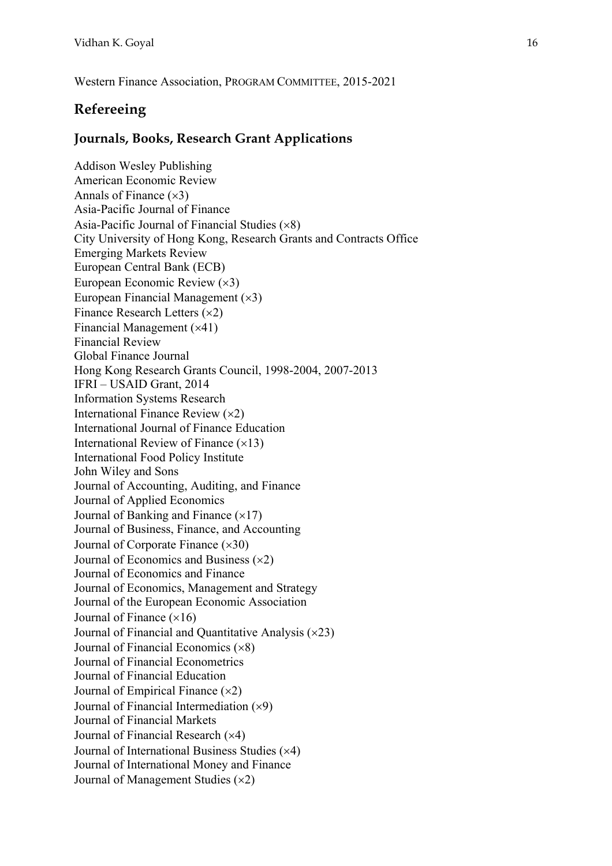Western Finance Association, PROGRAM COMMITTEE, 2015-2021

### **Refereeing**

### **Journals, Books, Research Grant Applications**

Addison Wesley Publishing American Economic Review Annals of Finance  $(\times 3)$ Asia-Pacific Journal of Finance Asia-Pacific Journal of Financial Studies  $(x8)$ City University of Hong Kong, Research Grants and Contracts Office Emerging Markets Review European Central Bank (ECB) European Economic Review  $(x3)$ European Financial Management  $(x3)$ Finance Research Letters  $(x2)$ Financial Management  $(x41)$ Financial Review Global Finance Journal Hong Kong Research Grants Council, 1998-2004, 2007-2013 IFRI – USAID Grant, 2014 Information Systems Research International Finance Review  $(x2)$ International Journal of Finance Education International Review of Finance  $(x13)$ International Food Policy Institute John Wiley and Sons Journal of Accounting, Auditing, and Finance Journal of Applied Economics Journal of Banking and Finance  $(\times 17)$ Journal of Business, Finance, and Accounting Journal of Corporate Finance  $(\times 30)$ Journal of Economics and Business  $(x2)$ Journal of Economics and Finance Journal of Economics, Management and Strategy Journal of the European Economic Association Journal of Finance  $(\times 16)$ Journal of Financial and Quantitative Analysis  $(x23)$ Journal of Financial Economics  $(\times 8)$ Journal of Financial Econometrics Journal of Financial Education Journal of Empirical Finance  $(x2)$ Journal of Financial Intermediation  $(x9)$ Journal of Financial Markets Journal of Financial Research  $(x4)$ Journal of International Business Studies  $(x4)$ Journal of International Money and Finance Journal of Management Studies  $(x2)$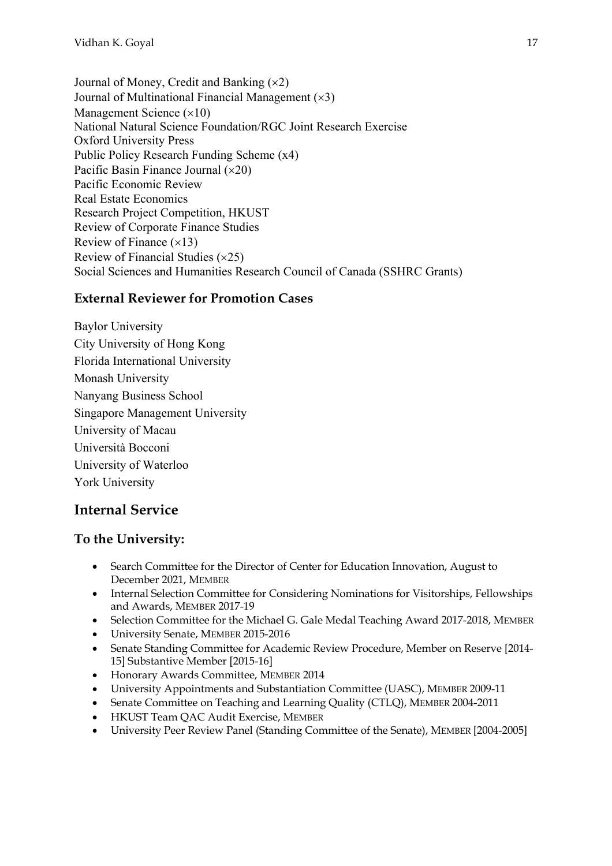Journal of Money, Credit and Banking  $(x2)$ Journal of Multinational Financial Management  $(x3)$ Management Science  $(\times 10)$ National Natural Science Foundation/RGC Joint Research Exercise Oxford University Press Public Policy Research Funding Scheme (x4) Pacific Basin Finance Journal  $(x20)$ Pacific Economic Review Real Estate Economics Research Project Competition, HKUST Review of Corporate Finance Studies Review of Finance  $(x13)$ Review of Financial Studies  $(x25)$ Social Sciences and Humanities Research Council of Canada (SSHRC Grants)

### **External Reviewer for Promotion Cases**

Baylor University City University of Hong Kong Florida International University Monash University Nanyang Business School Singapore Management University University of Macau Università Bocconi University of Waterloo York University

# **Internal Service**

### **To the University:**

- Search Committee for the Director of Center for Education Innovation, August to December 2021, MEMBER
- Internal Selection Committee for Considering Nominations for Visitorships, Fellowships and Awards, MEMBER 2017-19
- Selection Committee for the Michael G. Gale Medal Teaching Award 2017-2018, MEMBER
- University Senate, MEMBER 2015-2016
- Senate Standing Committee for Academic Review Procedure, Member on Reserve [2014- 15] Substantive Member [2015-16]
- Honorary Awards Committee, MEMBER 2014
- University Appointments and Substantiation Committee (UASC), MEMBER 2009-11
- Senate Committee on Teaching and Learning Quality (CTLQ), MEMBER 2004-2011
- HKUST Team QAC Audit Exercise, MEMBER
- University Peer Review Panel (Standing Committee of the Senate), MEMBER [2004-2005]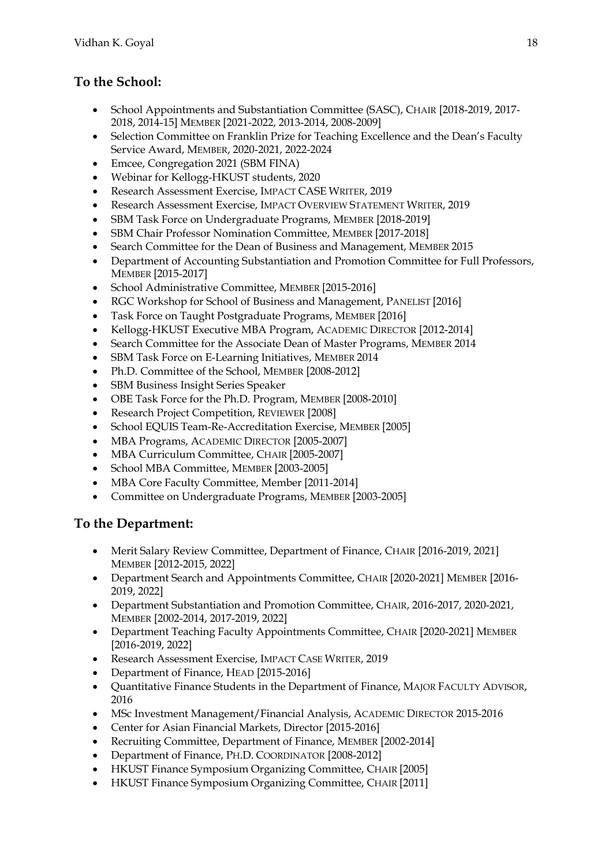# **To the School:**

- School Appointments and Substantiation Committee (SASC), CHAIR [2018-2019, 2017- 2018, 2014-15] MEMBER [2021-2022, 2013-2014, 2008-2009]
- Selection Committee on Franklin Prize for Teaching Excellence and the Dean's Faculty Service Award, MEMBER, 2020-2021, 2022-2024
- Emcee, Congregation 2021 (SBM FINA)
- Webinar for Kellogg-HKUST students, 2020
- Research Assessment Exercise, IMPACT CASE WRITER, 2019
- Research Assessment Exercise, IMPACT OVERVIEW STATEMENT WRITER, 2019
- SBM Task Force on Undergraduate Programs, MEMBER [2018-2019]
- SBM Chair Professor Nomination Committee, MEMBER [2017-2018]
- Search Committee for the Dean of Business and Management, MEMBER 2015
- Department of Accounting Substantiation and Promotion Committee for Full Professors, MEMBER [2015-2017]
- School Administrative Committee, MEMBER [2015-2016]
- RGC Workshop for School of Business and Management, PANELIST [2016]
- Task Force on Taught Postgraduate Programs, MEMBER [2016]
- Kellogg-HKUST Executive MBA Program, ACADEMIC DIRECTOR [2012-2014]
- Search Committee for the Associate Dean of Master Programs, MEMBER 2014
- SBM Task Force on E-Learning Initiatives, MEMBER 2014
- Ph.D. Committee of the School, MEMBER [2008-2012]
- SBM Business Insight Series Speaker
- OBE Task Force for the Ph.D. Program, MEMBER [2008-2010]
- Research Project Competition, REVIEWER [2008]
- School EQUIS Team-Re-Accreditation Exercise, MEMBER [2005]
- MBA Programs, ACADEMIC DIRECTOR [2005-2007]
- MBA Curriculum Committee, CHAIR [2005-2007]
- School MBA Committee, MEMBER [2003-2005]
- MBA Core Faculty Committee, Member [2011-2014]
- Committee on Undergraduate Programs, MEMBER [2003-2005]

### **To the Department:**

- Merit Salary Review Committee, Department of Finance, CHAIR [2016-2019, 2021] MEMBER [2012-2015, 2022]
- Department Search and Appointments Committee, CHAIR [2020-2021] MEMBER [2016- 2019, 2022]
- Department Substantiation and Promotion Committee, CHAIR, 2016-2017, 2020-2021, MEMBER [2002-2014, 2017-2019, 2022]
- Department Teaching Faculty Appointments Committee, CHAIR [2020-2021] MEMBER [2016-2019, 2022]
- Research Assessment Exercise, IMPACT CASE WRITER, 2019
- Department of Finance, HEAD [2015-2016]
- Quantitative Finance Students in the Department of Finance, MAJOR FACULTY ADVISOR, 2016
- MSc Investment Management/Financial Analysis, ACADEMIC DIRECTOR 2015-2016
- Center for Asian Financial Markets, Director [2015-2016]
- Recruiting Committee, Department of Finance, MEMBER [2002-2014]
- Department of Finance, PH.D. COORDINATOR [2008-2012]
- HKUST Finance Symposium Organizing Committee, CHAIR [2005]
- HKUST Finance Symposium Organizing Committee, CHAIR [2011]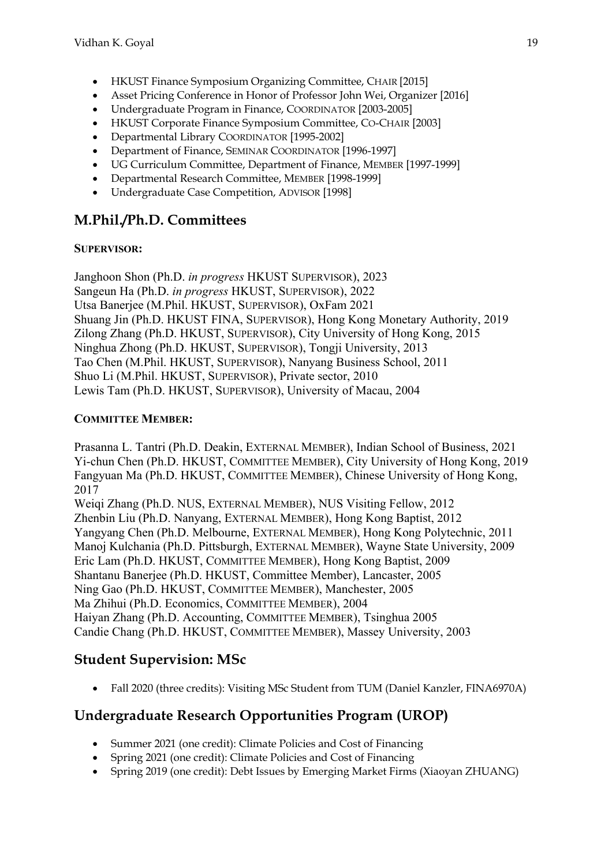- HKUST Finance Symposium Organizing Committee, CHAIR [2015]
- Asset Pricing Conference in Honor of Professor John Wei, Organizer [2016]
- Undergraduate Program in Finance, COORDINATOR [2003-2005]
- HKUST Corporate Finance Symposium Committee, CO-CHAIR [2003]
- Departmental Library COORDINATOR [1995-2002]
- Department of Finance, SEMINAR COORDINATOR [1996-1997]
- UG Curriculum Committee, Department of Finance, MEMBER [1997-1999]
- Departmental Research Committee, MEMBER [1998-1999]
- Undergraduate Case Competition, ADVISOR [1998]

# **M.Phil./Ph.D. Committees**

#### **SUPERVISOR:**

Janghoon Shon (Ph.D. *in progress* HKUST SUPERVISOR), 2023 Sangeun Ha (Ph.D. *in progress* HKUST, SUPERVISOR), 2022 Utsa Banerjee (M.Phil. HKUST, SUPERVISOR), OxFam 2021 Shuang Jin (Ph.D. HKUST FINA, SUPERVISOR), Hong Kong Monetary Authority, 2019 Zilong Zhang (Ph.D. HKUST, SUPERVISOR), City University of Hong Kong, 2015 Ninghua Zhong (Ph.D. HKUST, SUPERVISOR), Tongji University, 2013 Tao Chen (M.Phil. HKUST, SUPERVISOR), Nanyang Business School, 2011 Shuo Li (M.Phil. HKUST, SUPERVISOR), Private sector, 2010 Lewis Tam (Ph.D. HKUST, SUPERVISOR), University of Macau, 2004

#### **COMMITTEE MEMBER:**

Prasanna L. Tantri (Ph.D. Deakin, EXTERNAL MEMBER), Indian School of Business, 2021 Yi-chun Chen (Ph.D. HKUST, COMMITTEE MEMBER), City University of Hong Kong, 2019 Fangyuan Ma (Ph.D. HKUST, COMMITTEE MEMBER), Chinese University of Hong Kong, 2017

Weiqi Zhang (Ph.D. NUS, EXTERNAL MEMBER), NUS Visiting Fellow, 2012 Zhenbin Liu (Ph.D. Nanyang, EXTERNAL MEMBER), Hong Kong Baptist, 2012 Yangyang Chen (Ph.D. Melbourne, EXTERNAL MEMBER), Hong Kong Polytechnic, 2011 Manoj Kulchania (Ph.D. Pittsburgh, EXTERNAL MEMBER), Wayne State University, 2009 Eric Lam (Ph.D. HKUST, COMMITTEE MEMBER), Hong Kong Baptist, 2009 Shantanu Banerjee (Ph.D. HKUST, Committee Member), Lancaster, 2005 Ning Gao (Ph.D. HKUST, COMMITTEE MEMBER), Manchester, 2005 Ma Zhihui (Ph.D. Economics, COMMITTEE MEMBER), 2004 Haiyan Zhang (Ph.D. Accounting, COMMITTEE MEMBER), Tsinghua 2005 Candie Chang (Ph.D. HKUST, COMMITTEE MEMBER), Massey University, 2003

# **Student Supervision: MSc**

• Fall 2020 (three credits): Visiting MSc Student from TUM (Daniel Kanzler, FINA6970A)

# **Undergraduate Research Opportunities Program (UROP)**

- Summer 2021 (one credit): Climate Policies and Cost of Financing
- Spring 2021 (one credit): Climate Policies and Cost of Financing
- Spring 2019 (one credit): Debt Issues by Emerging Market Firms (Xiaoyan ZHUANG)